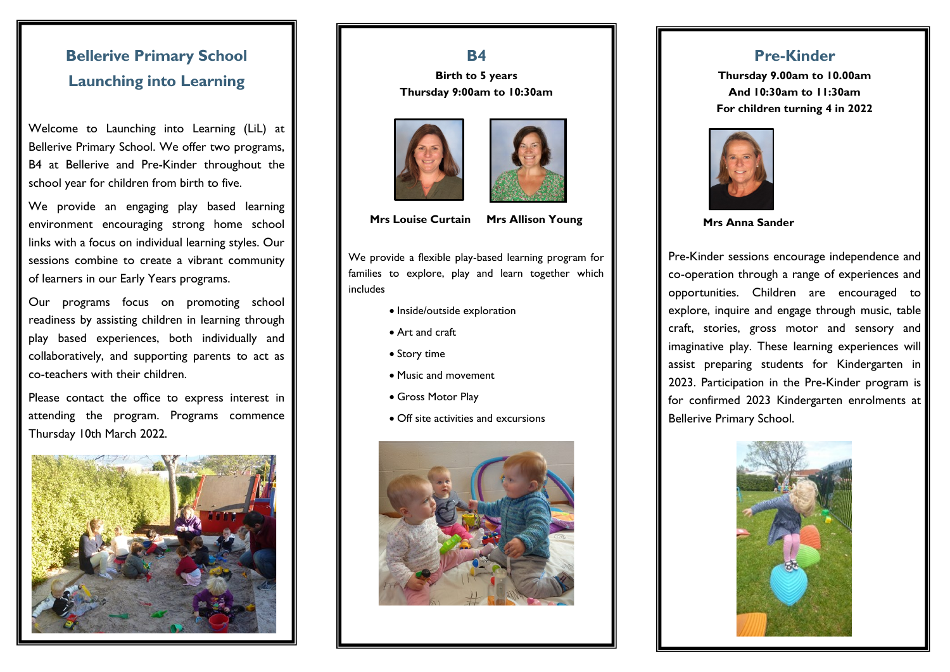## **Bellerive Primary School Launching into Learning**

Welcome to Launching into Learning (LiL) at Bellerive Primary School. We offer two programs, B4 at Bellerive and Pre-Kinder throughout the school year for children from birth to five.

We provide an engaging play based learning environment encouraging strong home school links with a focus on individual learning styles. Our sessions combine to create a vibrant community of learners in our Early Years programs.

Our programs focus on promoting school readiness by assisting children in learning through play based experiences, both individually and collaboratively, and supporting parents to act as co-teachers with their children.

Please contact the office to express interest in attending the program. Programs commence Thursday 10th March 2022.



#### **B4**

**Birth to 5 years Thursday 9:00am to 10:30am**





**Mrs Louise Curtain Mrs Allison Young**

We provide a flexible play-based learning program for families to explore, play and learn together which includes

- Inside/outside exploration
- Art and craft
- Story time
- Music and movement
- Gross Motor Play
- Off site activities and excursions



### **Pre-Kinder**

**Thursday 9.00am to 10.00am And 10:30am to 11:30am For children turning 4 in 2022**



 **Mrs Anna Sander**

Pre-Kinder sessions encourage independence and co-operation through a range of experiences and opportunities. Children are encouraged to explore, inquire and engage through music, table craft, stories, gross motor and sensory and imaginative play. These learning experiences will assist preparing students for Kindergarten in 2023. Participation in the Pre-Kinder program is for confirmed 2023 Kindergarten enrolments at Bellerive Primary School.